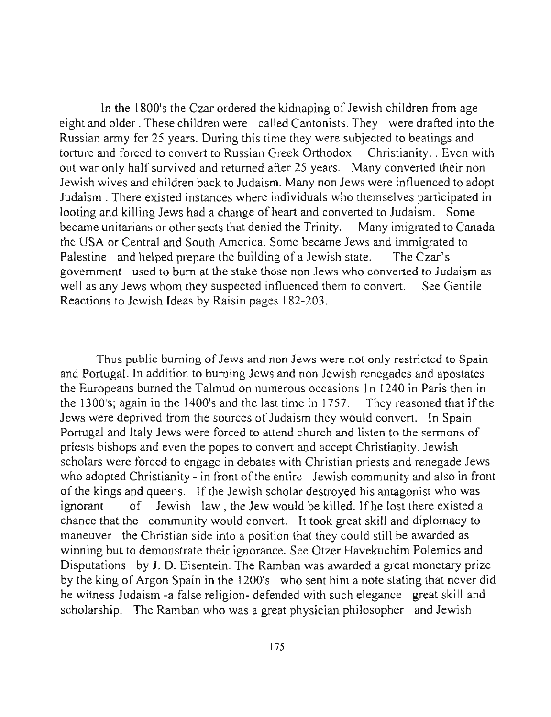In the 1800's the Czar ordered the kidnaping of Jewish children from age eight and older . These children were called Cantonists. They were drafted into the Russian army for 25 years. During this time they were subjected to beatings and torture and forced to convert to Russian Greek Orthodox Christianity .. Even with out war only half survived and returned after 25 years. Many converted their non Jewish wives and children back to Judaism. Many non Jews were influenced to adopt Judaism. There existed instances where individuals who themselves participated in looting and killing Jews had a change of heart and converted to Judaism. Some became unitarians or other sects that denied the Trinity. Many imigrated to Canada the USA or Central and South America. Some became Jews and immigrated to Palestine and helped prepare the building of a Jewish state. The Czar's government used to bum at the stake those non Jews who converted to Judaism as well as any Jews whom they suspected influenced them to convert. See Gentile Reactions to Jewish Ideas by Raisin pages 182-203.

**Thus public burning of Jews and non Jews were not only restricted to Spain**  and Portugal. In addition to burning Jews and non Jewish renegades and apostates the Europeans burned the Talmud on numerous occasions In 1240 in Paris then in the 1300's; again in the 1400's and the last time in 1757. They reasoned that if the Jews were deprived from the sources of Judaism they would convert. In Spain Portugal and Italy Jews were forced to attend church and listen to the sermons of priests bishops and even the popes to convert and accept Christianity. Jewish scholars were forced to engage in debates with Christian priests and renegade Jews who adopted Christianity - in front of the entire Jewish community and also in front of the kings and queens. If the Jewish scholar destroyed his antagonist who was ignorant of Jewish law, the Jew would be killed. Ifhe lost there existed a chance that the community would convert. It took great skill and diplomacy to maneuver the Christian side into a position that they could still be awarded as winning but to demonstrate their ignorance. See Otzer Havekuchim Polemics and Disputations by J. D. Eisentein. The Ramban was awarded a great monetary prize by the king of Argon Spain in the 1200's who sent him a note stating that never did he witness Judaism -a false religion- defended with such elegance great skill and scholarship. The Ramban who was a great physician philosopher and Jewish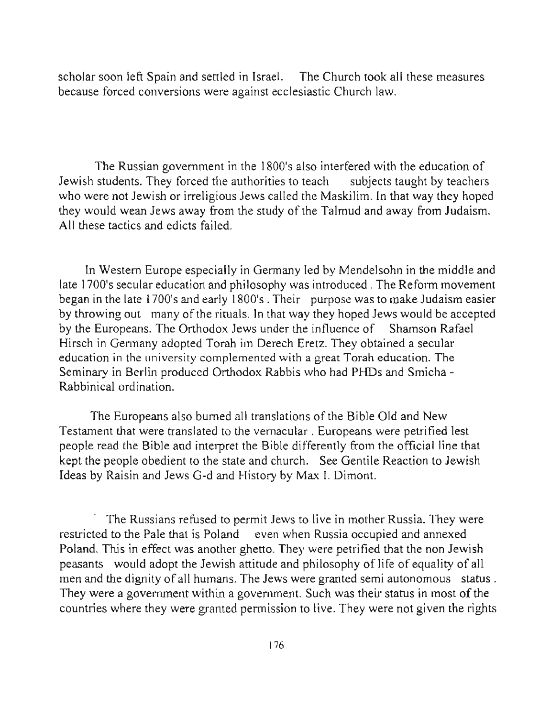scholar soon left Spain and settled in Israel. The Church took all these measures because forced conversions were against ecclesiastic Church law.

The Russian government in the 1800's also interfered with the education of Jewish students. They forced the authorities to teach subjects taught by teachers who were not Jewish or irreligious Jews called the Maskilim. In that way they hoped they would wean Jews away from the study of the Talmud and away from Judaism. All these tactics and edicts failed.

In Western Europe especially in Germany led by Mendelsohn in the middle and late 1700's secular education and philosophy was introduced . The Reform movement began in the late 1700's and early 1800's. Their purpose was to make Judaism easier by throwing out many of the rituals. In that way they hoped Jews would be accepted by the Europeans. The Orthodox Jews under the influence of Shamson Rafael Hirsch in Germany adopted Torah im Derech Eretz. They obtained a secular **education in the university complemented with a great Torah education. The**  Seminary in Berlin produced Orthodox Rabbis who had PHDs and Smicha - Rabbinical ordination.

The Europeans also burned all translations of the Bible Old and New Testament that were translated to the vernacular . Europeans were petrified lest people read the Bible and interpret the Bible differently from the official line that kept the people obedient to the state and church. See Gentile Reaction to Jewish Ideas by Raisin and Jews G-d and History by Max I. Dimont.

. The Russians refused to permit Jews to live in mother Russia. They were restricted to the Pale that is Poland even when Russia occupied and annexed Poland. This in effect was another ghetto. They were petrified that the non Jewish peasants would adopt the Jewish attitude and philosophy of life of equality of all men and the dignity of all humans. The Jews were granted semi autonomous status. They were a government within a government. Such was their status in most of the countries where they were granted permission to live. They were not given the rights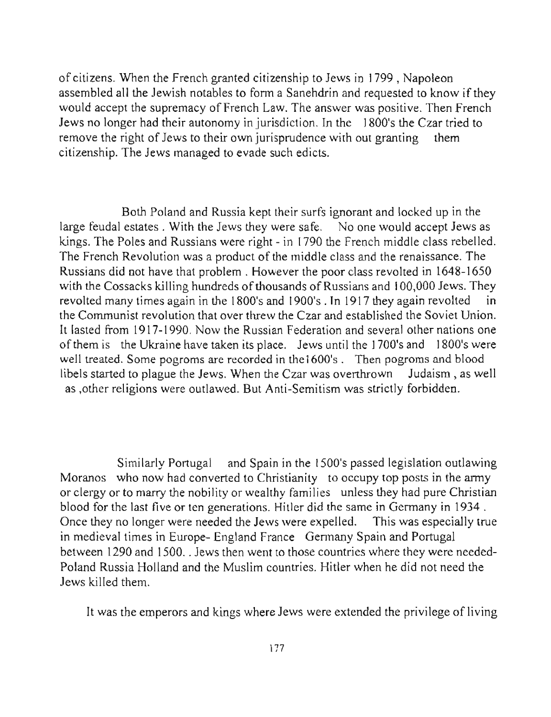of citizens. When the French granted citizenship to Jews in 1799 , Napoleon assembled all the Jewish notables to form a Sanehdrin and requested to know if they would accept the supremacy of French Law. The answer was positive. Then French Jews no longer had their autonomy in jurisdiction. In the 1800's the Czar tried to remove the right of Jews to their own jurisprudence with out granting them citizenship. The Jews managed to evade such edicts.

Both Poland and Russia kept their surfs ignorant and locked up in the large feudal estates. With the Jews they were safe. No one would accept Jews as kings. The Poles and Russians were right - in 1790 the French middle class rebelled. The French Revolution was a product of the middle class and the renaissance. The Russians did not have that problem. However the poor class revolted in 1648-1650 with the Cossacks killing hundreds of thousands of Russians and 100,000 Jews. They revolted many times again in the 1800's and 1900's . In 1917 they again revolted the Communist revolution that over threw the Czar and established the Soviet Union. It lasted from 1917-1990. Now the Russian Federation and several other nations one of them is the Ukraine have taken its place. Jews until the 1700's and 1800's were well treated. Some pogroms are recorded in the 1600's. Then pogroms and blood libels started to plague the Jews. When the Czar was overthrown Judaism, as well as ,other religions were outlawed. But Anti-Semitism was strictly forbidden.

Similarly Portugal and Spain in the 1500's passed legislation outlawing Moranos who now had converted to Christianity to occupy top posts in the army or clergy or to marry the nobility or wealthy families unless they had pure Christian blood for the last five or ten generations. Hitler did the same in Germany in 1934 . Once they no longer were needed the Jews were expelled. This was especially true in medieval times in Europe- England France Germany Spain and Portugal between 1290 and 1500 .. Jews then went to those countries where they were needed-Poland Russia Holland and the Muslim countries. Hitler when he did not need the Jews killed them.

It was the emperors and kings where Jews were extended the privilege of living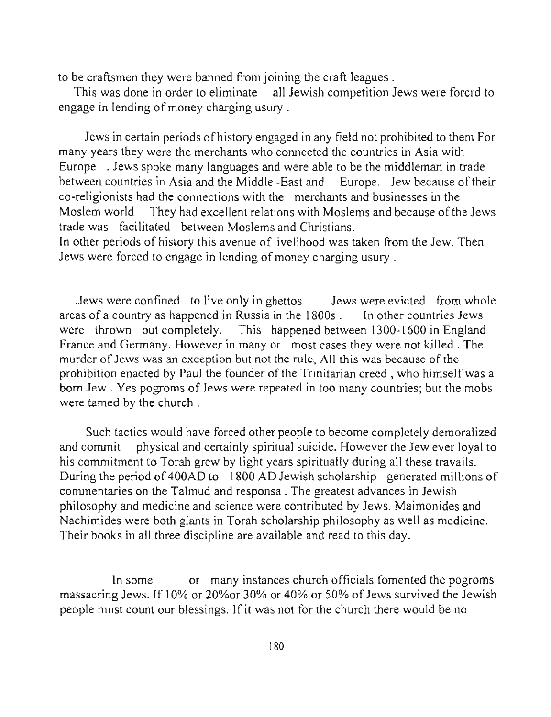to be craftsmen they were banned from joining the craft leagues .

This was done in order to eliminate all Jewish competition Jews were forcrd to engage in lending of money charging usury .

Jews in certain periods of history engaged in any field not prohibited to them For many years they were the merchants who connected the countries in Asia with Europe . Jews spoke many languages and were able to be the middleman in trade between countries in Asia and the Middle -East and Europe. Jew because of their co-religionists had the connections with the merchants and businesses in the Moslem world They had excellent relations with Moslems and because of the Jews trade was facilitated between Moslems and Christians.

In other periods of history this avenue of livelihood was taken from the Jew. Then Jews were forced to engage in lending of money charging usury .

Jews were confined to live only in ghettos . Jews were evicted from whole areas of a country as happened in Russia in the 1800s . In other countries Jews were thrown out completely. This happened between 1300-1600 in England France and Germany. However in many or most cases they were not killed. The murder of Jews was an exception but not the rule, All this was because of the prohibition enacted by Paul the founder of the Trinitarian creed, who himself was a born Jew. Yes pogroms of Jews were repeated in too many countries; but the mobs were tamed by the church.

Such tactics would have forced other people to become completely demoralized and commit physical and certainly spiritual suicide. However the Jew ever loyal to his commitment to Torah grew by light years spiritually during all these travails. During the period of 400AD to 1800 AD Jewish scholarship generated millions of commentaries on the Talmud and responsa . The greatest advances in Jewish philosophy and medicine and science were contributed by Jews. Maimonides and Nachimides were both giants in Torah scholarship philosophy as well as medicine. Their books in all three discipline are available and read to this day.

In some or many instances church officials fomented the pogroms massacring Jews. If 10% or 20%or 30% or 40% or 50% of Jews survived the Jewish people must count our blessings. If it was not for the church there would be no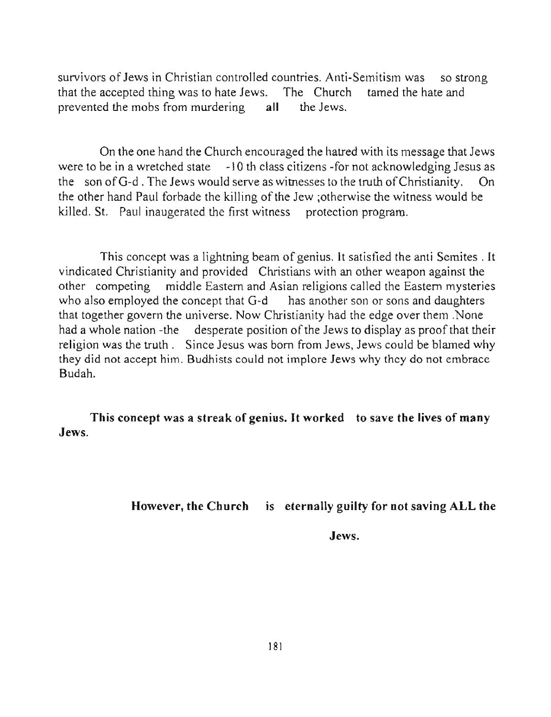survivors of Jews in Christian controlled countries. Anti-Semitism was so strong that the accepted thing was to hate Jews. The Church tamed the hate and prevented the mobs from murdering all the Jews.

On the one hand the Church encouraged the hatred with its message that Jews were to be in a wretched state -l 0 th class citizens -for not acknowledging Jesus as the son ofG-d . The Jews would serve as witnesses to the truth of Christianity. On the other hand Paul forbade the killing of the Jew ;otherwise the witness would be killed. St. Paul inaugerated the first witness protection program.

This concept was a lightning beam of genius. It satisfied the anti Semites. It vindicated Christianity and provided Christians with an other weapon against the other competing middle Eastern and Asian religions called the Eastern mysteries who also employed the concept that G-d has another son or sons and daughters that together govern the universe. Now Christianity had the edge over them .None had a whole nation -the desperate position of the Jews to display as proof that their religion was the truth . Since Jesus was born from Jews, Jews could be blamed why they did not accept him. Budhists could not implore Jews why they do not embrace Budah.

This concept was a streak of genius. It worked to save the lives of many Jews.

However, the Church is eternally guilty for not saving ALL the

Jews.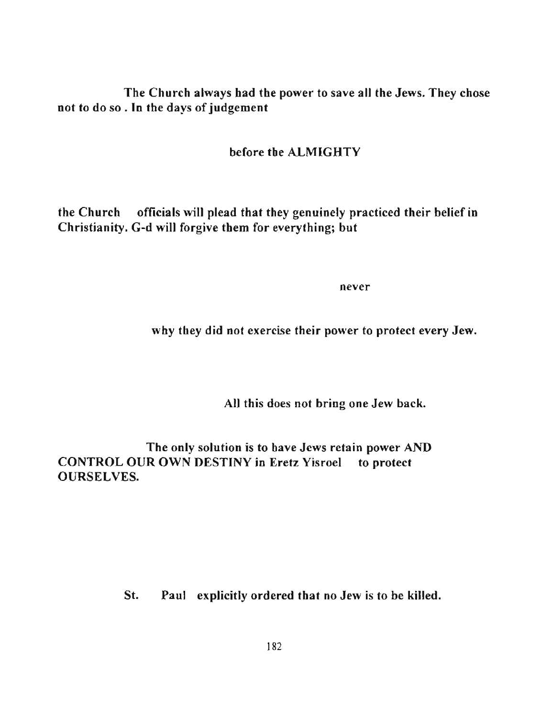The Church always had the power to save all the Jews. They chose not to do so . **In** the days of judgement

## before the ALMIGHTY

the Church officials will plead that they genuinely practiced their belief in Christianity. G-d will forgive them for everything; but

**never** 

why they did not exercise their power to protect every Jew.

All this does not bring one Jew back.

The only solution is to have Jews retain power AND CONTROL OUR OWN DESTINY in Eretz Yisroel to protect OURSELVES.

St. Paul explicitly ordered that no Jew is to be killed.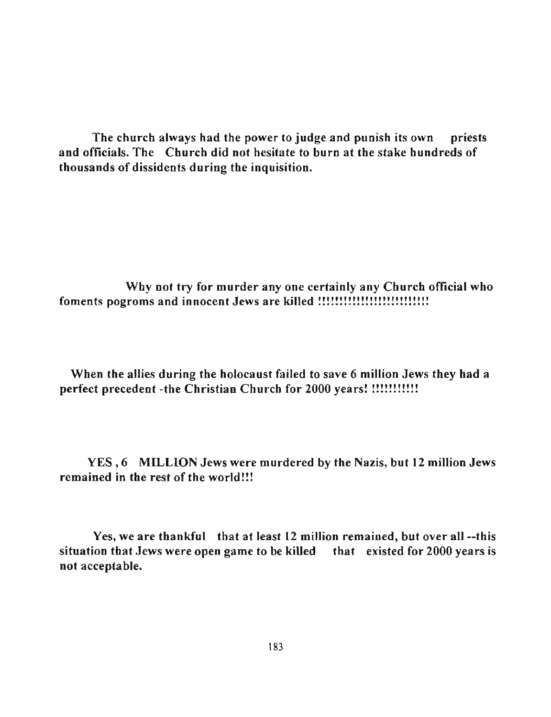The church always had the power to judge and punish its own priests and officials. The Church did not hesitate to burn at the stake hundreds of thousands of dissidents during tbe inquisition.

Why not try for murder anyone certainly any Church official who **foments pogroms and innocent Jews are killed I!!!!!!!!!!!!!!!!!!!!!!!!!** 

When the allies during the holocaust failed to save 6 million Jews they had a perfect precedent -the Christian Church for 2000 years! !!!!!!!!!!!!

YES,6 MILLION Jews were murdered by the Nazis, but 12 million Jews remained in the rest of the world!!!

Yes, we are thankful that at least 12 million remained, but over all --this situation that Jews were open game to be killed that existed for 2000 years is not acceptable.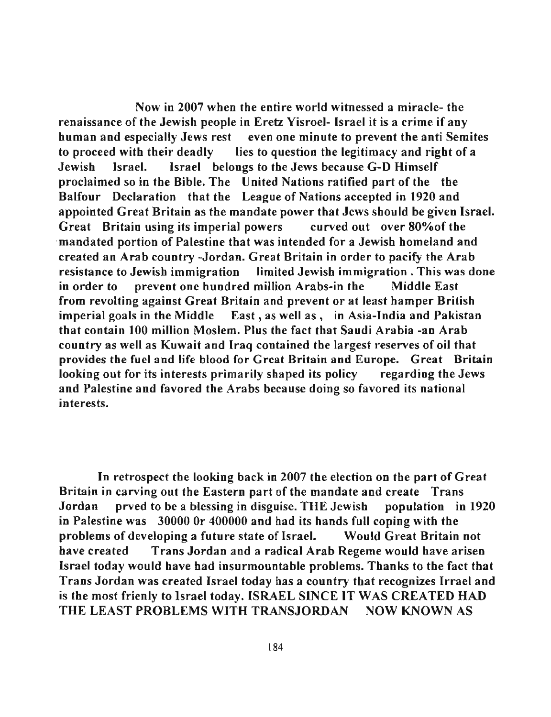Now in 2007 when the entire world witnessed a miracle- the renaissance of the Jewish people in Eretz Yisroel- Israel it is a crime if any human and especially Jews rest even one minute to prevent the anti Semites to proceed with their deadly lies to question the legitimacy and right of a Jewish Israel. Israel belongs to tbe Jews because G-D Himself proclaimed so in the Bible. The United Nations ratified part of the tbe Balfour Declaration that the League of Nations accepted in 1920 and appointed Great Britain as the mandate power that Jews should be given Israel. Great Britain using its imperial powers curved out over 80%of the ·mandated portion of Palestine that was intended for a Jewish homeland and created an Arab country -Jordan. Great Britain in order to pacify the Arab **resistance to Jewish immigration limited Jewish immigration. This was done**  in order to prevent one hundred million Arabs-in the Middle East from revolting against Great Britain and prevent or at least hamper British imperial goals in tbe Middle East, as well as, in Asia-India and Pakistan tbat contain 100 million Moslem. Plus the fact that Saudi Arabia -an Arab country as well as Kuwait and Iraq contained the largest reserves of oil tbat **provides the fuel and life blood for Great Britain and Europe. Great Britain**  looking out for its interests primarily shaped its policy regarding the Jews and Palestine and favored the Arabs because doing so favored its national **interests.** 

In retrospect the looking back in 2007 the election on the part of Great Britain in carving out the Eastern part of the mandate and create Trans Jordan prved to be a blessing in disguise. THE Jewish population in 1920 in Palestine was 30000 Or 400000 and had its hands full coping with the problems of developing a future state of Israel. Would Great Britain not have created Trans Jordan and a radical Arab Regeme would have arisen Israel today would have had insurmountable problems. Thanks to the fact that Trans Jordan was created Israel today has a country that recognizes Irrael and is the most frienly to Israel today. ISRAEL SINCE IT WAS CREATED HAD THE LEAST PROBLEMS WITH TRANSJORDAN NOW KNOWN AS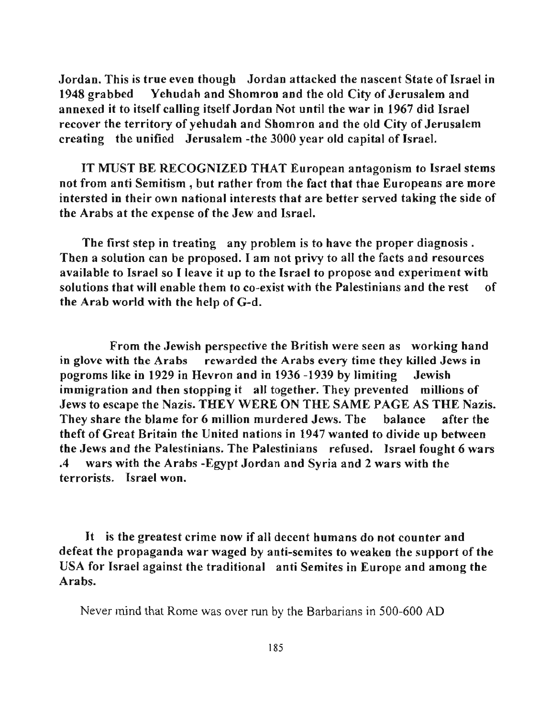Jordan. This is true even though Jordan attacked the nascent State of Israel in 1948 grabbed Yehudah and Shomron and the old City of Jerusalem and annexed it to itself calling itself Jordan Not until the war in 1967 did Israel recover the territory of yehudah and Shomron and the old City of Jerusalem creating the unified Jerusalem -the 3000 year old capital of Israel.

IT MUST BE RECOGNIZED THAT European antagonism to Israel stems not from anti Semitism • but rather from the fact that thae Europeans are more intersted in their own national interests that are better served taking the side of the Arabs at the expense of the Jew and Israel.

The first step in treating any problem is to have the proper diagnosis. Then a solution can be proposed. I am not privy to all the facts and resources available to Israel so I leave it up to the Israel to propose and experiment with solutions that will enable them to co-exist with the Palestinians and the rest of the Arab world with the help of G-d.

From the Jewish perspective the British were seen as working hand in glove with the Arabs rewarded the Arabs every time they killed Jews in pogroms like in 1929 in Hevron and in 1936 -1939 by limiting Jewish immigration and then stopping it all together. They prevented millions of Jews to escape the Nazis. THEY WERE ON THE SAME PAGE AS THE Nazis. They share the blame for 6 million murdered Jews. The balance after the theft of Great Britain the United nations in 1947 wanted to divide up between the Jews and the Palestinians. The Palestinians refused. Israel fought 6 wars .4 wars with the Arabs -Egypt Jordan and Syria and 2 wars with the **terrorists. Israel won.** 

It is the greatest crime now if all decent humans do not counter and defeat the propaganda war waged by anti-semites to weaken the support of the USA for Israel against the traditional anti Semites in Europe and among the Arabs.

Never mind that Rome was over run by the Barbarians in 500-600 AD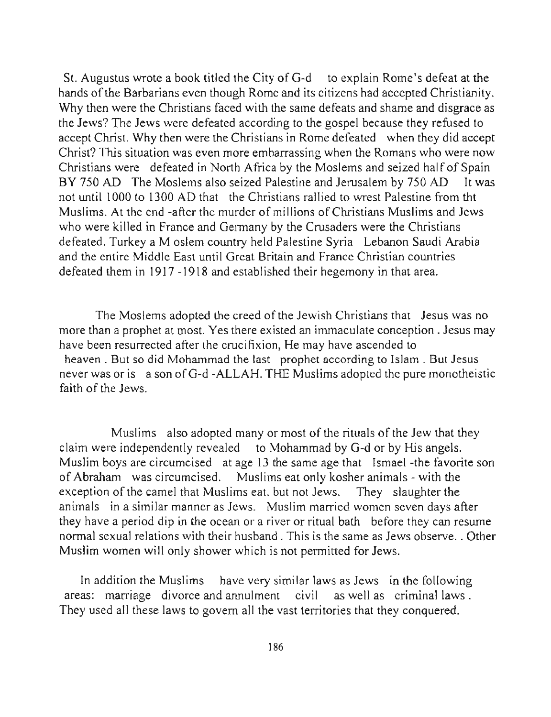St. Augustus wrote a book titled the City of G-d to explain Rome's defeat at the hands of the Barbarians even though Rome and its citizens had accepted Christianity. Why then were the Christians faced with the same defeats and shame and disgrace as the Jews? The Jews were defeated according to the gospel because they refused to accept Christ. Why then were the Christians in Rome defeated when they did accept Christ? This situation was even more embarrassing when the Romans who were now Christians were defeated in North Africa by the Moslems and seized half of Spain BY 750 AD The Moslems also seized Palestine and Jerusalem by 750 AD It was not until 1000 to 1300 AD that the Christians rallied to wrest Palestine from tht Muslims. At the end -after the murder of millions of Christians Muslims and Jews who were killed in France and Germany by the Crusaders were the Christians defeated. Turkey a M oslem country held Palestine Syria Lebanon Saudi Arabia and the entire Middle East until Great Britain and France Christian countries defeated them in 1917 -1918 and established their hegemony in that area.

The Moslems adopted the creed of the Jewish Christians that Jesus was no more than a prophet at most. Yes there existed an immaculate conception. Jesus may have been resurrected after the crucifixion, He may have ascended to heaven. But so did Mohammad the last prophet according to Islam. But Jesus never was or is a son of G-d-ALLAH. THE Muslims adopted the pure monotheistic faith of the Jews.

Muslims also adopted many or most of the rituals of the Jew that they claim were independently revealed to Mohammad by G-d or by His angels. Muslim boys are circumcised at age 13 the same age that Ismael -the favorite son of Abraham was circumcised. Muslims eat only kosher animals - with the exception of the camel that Muslims eat. but not Jews. They slaughter the **animals in a similar manner as Jews. Muslim married women seven days after**  they have a period dip in the ocean or a river or ritual bath before they can resume normal sexual relations with their husband. This is the same as Jews observe .. Other Muslim women will only shower which is not permitted for Jews.

In addition the Muslims have very similar laws as Jews in the following areas: marriage divorce and annulment civil as well as criminal laws . They used all these laws to govern all the vast territories that they conquered.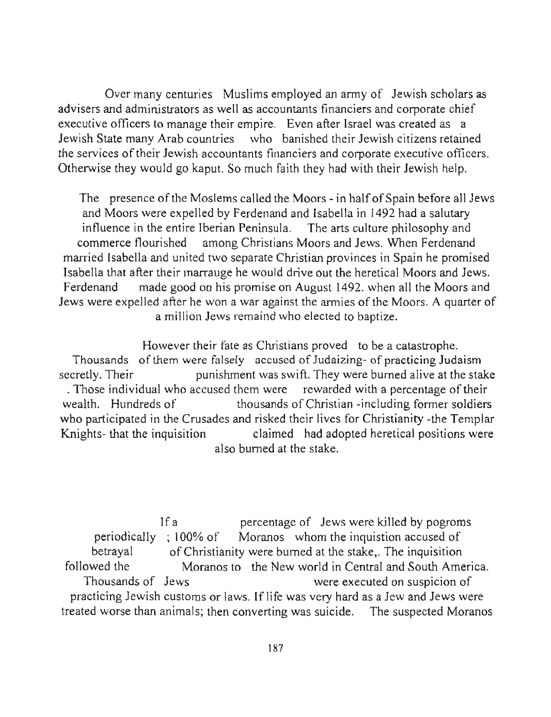Over many centuries Muslims employed an army of Jewish scholars as advisers and administrators as well as accountants financiers and corporate chief executive officers to manage their empire. Even after Israel was created as a Jewish State many Arab countries who banished their Jewish citizens retained **the services** of their **Jewish accountants financiers and corporate executive officers.**  Otherwise they would go kaput. So much faith they had with their Jewish help.

The presence of the Moslems called the Moors - in half of Spain before all Jews and Moors were expelled by Ferdenand and Isabella in 1492 had a salutary influence in the entire Iberian Peninsula. The arts culture philosophy and commerce flourished among Christians Moors and Jews. When Ferdenand married Isabella and united two separate Christian provinces in Spain he promised Isabella that after their marrauge he would drive out the heretical Moors and Jews. Ferdenand made good on his promise on August 1492. when all the Moors and Jews were expelled after he won a war against the armies of the Moors. A quarter of a million Jews remaind who elected to baptize.

However their fate as Christians proved to be a catastrophe. Thousands of them were falsely accused of Judaizing- of practicing Judaism secretly. Their punishment was swift. They were burned alive at the stake . Those individual who accused them were rewarded with a percentage of their wealth. Hundreds of thousands of Christian -including former soldiers who participated in the Crusades and risked their lives for Christianity -the Templar Knights- that the inquisition claimed had adopted heretical positions were also burned at the stake.

If a percentage of Jews were killed by pogroms periodically ; 100% of Moranos whom the inquistion accused of betrayal of Christianity were burned at the stake,. The inquisition followed the Moranos to the New world in Central and South America. Thousands of Jews were executed on suspicion of practicing Jewish customs or laws. If life was very hard as a Jew and Jews were treated worse than animals; then converting was suicide. The suspected Moranos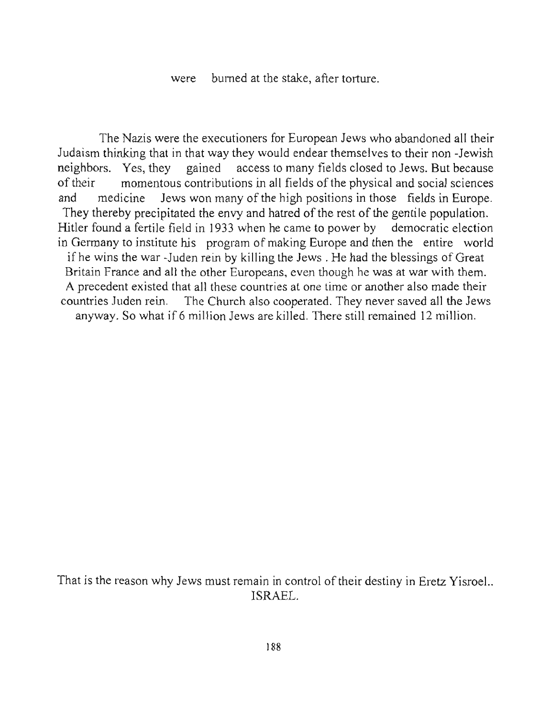were burned at the stake, after torture.

The Nazis were the executioners for European Jews who abandoned all their Judaism thinking that in that way they would endear themselves to their non -Jewish neighbors. Yes, they gained access to many fields closed to Jews. But because of their momentous contributions in all fields of the physical and social sciences and medicine Jews won many of the high positions in those fields in Europe. They thereby precipitated the envy and hatred of the rest of the gentile population. Hitler found a fertile field in 1933 when he came to power by democratic election in Germany to institute his program of making Europe and then the entire world ifhe wins the war -Juden rein by killing the Jews. He had the blessings of Great Britain France and all the other Europeans, even though he was at war with them. A precedent existed that all these countries at one time or another also made their countries Juden rein. The Church also cooperated. They never saved all the Jews anyway. So what if 6 million Jews are killed. There still remained 12 million.

That is the reason why Jews must remain in control of their destiny in Eretz Yisroel.. ISRAEL.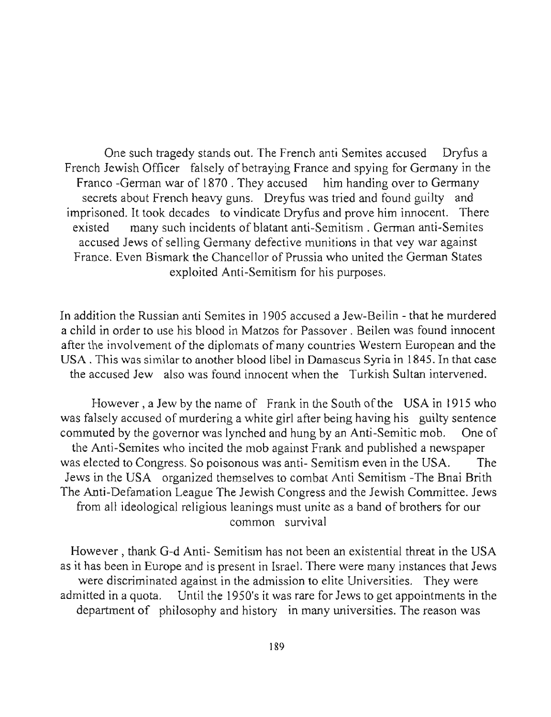One such tragedy stands out. The French anti Semites accused Dryfus a French Jewish Officer falsely of betraying France and spying for Germany in the Franco -German war of 1870 . They accused him handing over to Germany secrets about French heavy guns. Dreyfus was tried and found guilty and imprisoned. It took decades to vindicate Dryfus and prove him innocent. There existed many such incidents of blatant anti-Semitism. German anti-Semites accused Jews of selling Germany defective munitions in that vey war against France. Even Bismark the Chancellor of Prussia who united the German States exploited Anti-Semitism for his purposes.

In addition the Russian anti Semites in 1905 accused a Jew-Beilin - that he murdered a child in order to use his blood in Matzos for Passover. Beilen was found innocent after the involvement of the diplomats of many countries Western European and the **USA. This was similar to another blood libel in Damascus Syria in 1845. In that case**  the accused Jew also was found innocent when the Turkish Sultan intervened.

However, a Jew by the name of Frank in the South of the USA in 1915 who was falsely accused of murdering a white girl after being having his guilty sentence commuted by the governor was lynched and hung by an Anti-Semitic mob. One of the Anti-Semites who incited the mob against Frank and published a newspaper was elected to Congress. So poisonous was anti- Semitism even in the USA. The Jews in the USA organized themselves to combat Anti Semitism -The Bnai Brith The Anti-Defamation League The Jewish Congress and the Jewish Committee. Jews from all ideological religious leanings must unite as a band of brothers for our **common survival** 

However, thank G-d Anti- Semitism has not been an existential threat in the USA as it has been in Europe and is present in Israel. There were many instances that Jews **were discriminated against in the admission to elite Universities. They were**  admitted in a quota. Until the 1950's it was rare for Jews to get appointments in the department of philosophy and history in many universities. The reason was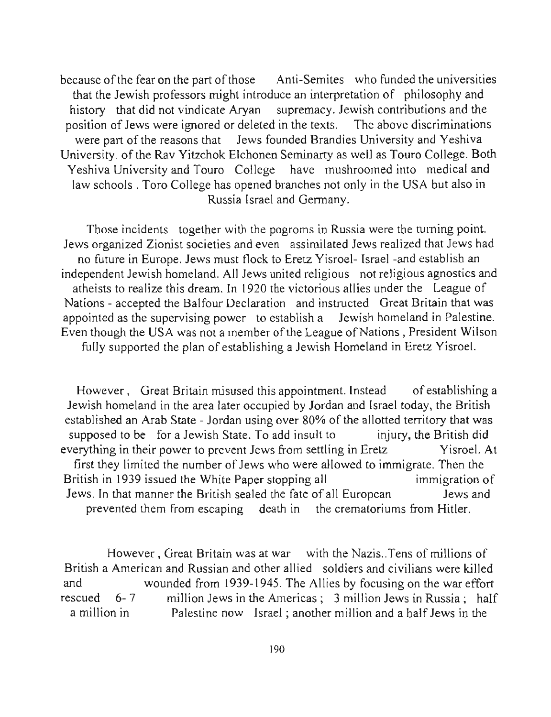because of the fear on the part of those Anti-Semites who funded the universities that the Jewish professors might introduce an interpretation of philosophy and history that did not vindicate Aryan supremacy. Jewish contributions and the position of Jews were ignored or deleted in the texts. The above discriminations were part of the reasons that Jews founded Brandies University and Yeshiva University. of the Rav Yitzchok Elchonen Seminarty as well as Touro College. Both Yeshiva University and Touro College have mushroomed into medical and law schools. Toro College has opened branches not only in the USA but also in Russia Israel and Germany.

Those incidents together with the pogroms in Russia were the turning point. Jews organized Zionist societies and even assimilated Jews realized that Jews had no future in Europe. Jews must flock to Eretz Yisroel- Israel -and establish an independent Jewish homeland. All Jews united religious not religious agnostics and atheists to realize this dream. In 1920 the victorious allies under the League of Nations - accepted the Balfour Declaration and instructed Great Britain that was appointed as the supervising power to establish a Jewish homeland in Palestine. Even though the USA was not a member of the League of Nations , President Wilson fully supported the plan of establishing a Jewish Homeland in Eretz Yisroe!.

However, Great Britain misused this appointment. Instead of establishing a Jewish homeland in the area later occupied by Jordan and Israel today, the British established an Arab State - Jordan using over 80% of the allotted territory that was supposed to be for a Jewish State. To add insult to injury, the British did everything in their power to prevent Jews from settling in Eretz Yisroel. At first they limited the number of Jews who were allowed to immigrate. Then the British in 1939 issued the White Paper stopping all immigration of Jews. In that manner the British sealed the fate of all European Jews and prevented them from escaping death in the crematoriums from Hitler.

However , Great Britain was at war with the Nazis .. Tens of millions of British a American and Russian and other allied soldiers and civilians were killed and wounded from 1939-1945. The Allies by focusing on the war effort rescued 6-7 million Jews in the Americas; 3 million Jews in Russia; half a million in Palestine now Israel; another million and a half Jews in the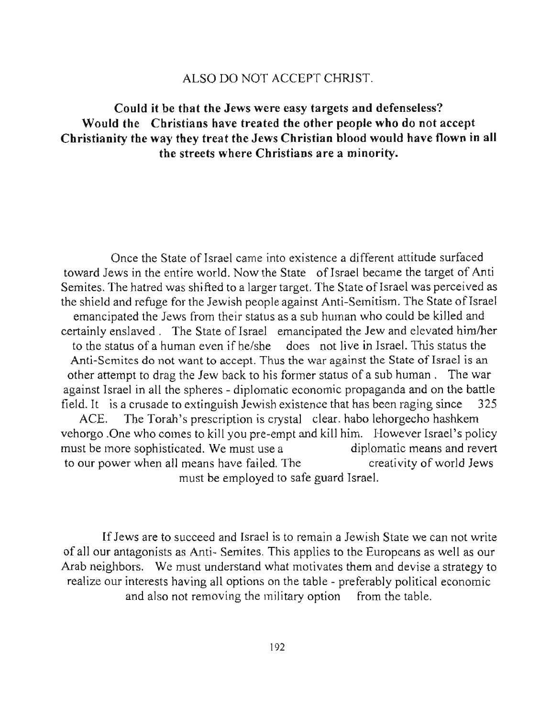## ALSO DO NOT ACCEPT CHRJST.

# Could it be that the Jews were easy targets and defenseless? Would the Christians have treated the other people who do not accept Christianity the way they treat the Jews Christian blood would have flown in all the streets where Christians are a minority.

Once the State of Israel came into existence a different attitude surfaced toward Jews in the entire world. Now the State of Israel became the target of Anti Semites. The hatred was shifted to a larger target. The State of Israel was perceived as the shield and refuge for the Jewish people against Anti-Semitism. The State of Israel emancipated the Jews from their status as a sub human who could be killed and certainly enslaved. The State of Israel emancipated the Jew and elevated himlher to the status of a human even if he/she does not live in Israel. This status the **Anti-Semites do not want to accept. Thus the war against the State of Israel is** an other attempt to drag the Jew back to his former status of a sub human. The war against Israel in all the spheres - diplomatic economic propaganda and on the battle field. It is a crusade to extinguish Jewish existence that has been raging since 325 ACE. The Torah's prescription is crystal clear. habo lehorgecho hashkem vehorgo .One who comes to kill you pre-empt and kill him. However Israel's policy must be more sophisticated. We must use a diplomatic means and revert to our power when all means have failed. The creativity of world Jews

must be employed to safe guard Israel.

If Jews are to succeed and Israel is to remain a Jewish State we can not write of all our antagonists as Anti- Semites. This applies to the Europeans as well as our Arab neighbors. We must understand what motivates them and devise a strategy to realize our interests having all options on the table - preferably political economic and also not removing the military option from the table.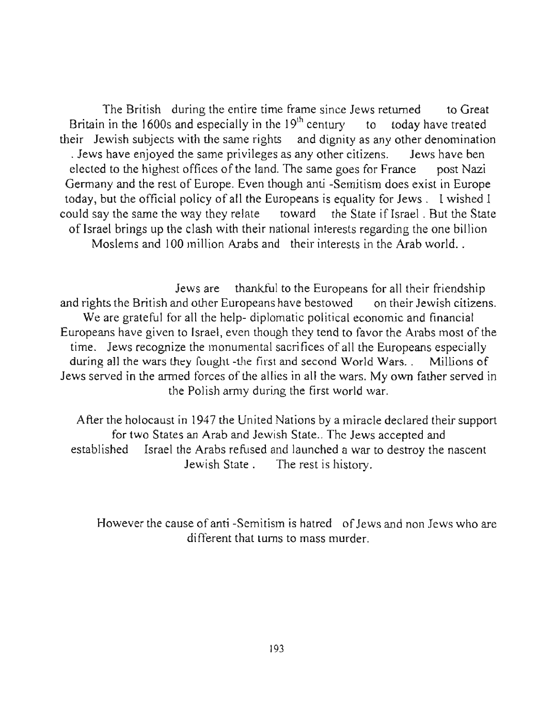The British during the entire time frame since Jews returned to Great Britain in the 1600s and especially in the  $19<sup>th</sup>$  century to today have treated their Jewish subjects with the same rights and dignity as any other denomination . Jews have enjoyed the same privileges as any other citizens. Jews have ben elected to the highest offices of the land. The same goes for France post Nazi Germany and the rest of Europe. Even though anti -Semitism does exist in Europe today, but the official policy of all the Europeans is equality for Jews. I wished I could say the same the way they relate toward the State if Israel. But the State of Israel brings up the clash with their national interests regarding the one billion Moslems and 100 million Arabs and their interests in the Arab world..

Jews are thankful to the Europeans for all their friendship and rights the British and other Europeans have bestowed on their Jewish citizens. We are grateful for all the help- diplomatic political economic and financial Europeans have given to Israel, even though they tend to favor the Arabs most of the time. Jews recognize the monumental sacrifices of all the Europeans especially during all the wars they fought -the first and second World Wars. . Millions of Jews served in the armed forces of the allies in all the wars. My own father served in the Polish army during the first world war.

After the holocaust in 1947 the United Nations by a miracle declared their support for two States an Arab and Jewish State.. The Jews accepted and established Israel the Arabs refused and launched a war to destroy the nascent Jewish State. The rest is history.

However the cause of anti -Semitism is hatred of Jews and non Jews who are different that turns to mass murder.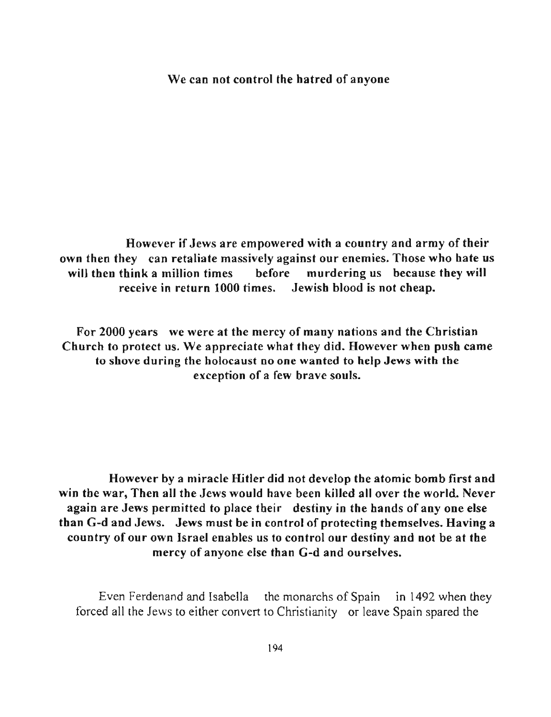#### We can not control the hatred of anyone

However if Jews are empowered with a country and army of their own then they can retaliate massively against our enemies. Those who hate us will then think a million times before murdering us because they will receive in return 1000 times. Jewish blood is not cheap.

For 2000 years we were at the mercy of many nations and the Christian Church to protect us. We appreciate what they did. However when push came **to shove during the holocaust no one wanted to help Jews with the**  exception of a few brave souls.

However by a miracle Hitler did not develop the atomic bomb first and win the war, Then all the Jews would have been killed all over the world. Never again are Jews permitted to place their destiny in the hands of any one else than G-d and Jews. Jews must be in control of protecting themselves. Having a country of our own Israel enables us to control our destiny and not be at the mercy of anyone else than G-d and ourselves.

Even Ferdenand and Isabella the monarchs of Spain in 1492 when they forced all the Jews to either convert to Christianity or leave Spain spared the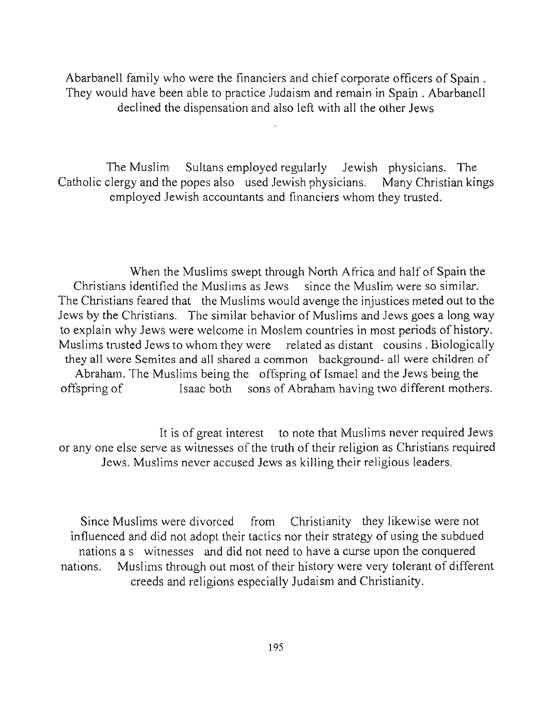Abarbanell family who were the financiers and chief corporate officers of Spain. They would have been able to practice Judaism and remain in Spain . Abarbanell declined the dispensation and also left with all the other Jews

The Muslim Sultans employed regularly Jewish physicians. The Catholic clergy and the popes also used Jewish physicians. Many Christian kings employed Jewish accountants and financiers whom they trusted.

When the Muslims swept through North Africa and half of Spain the Christians identified the Muslims as Jews since the Muslim were so similar. The Christians feared that the Muslims would avenge the injustices meted out to the Jews by the Christians. The similar behavior of Muslims and Jews goes a long way to explain why Jews were welcome in Moslem countries in most periods of history. Muslims trusted Jews to whom they were related as distant cousins. Biologically **they all were Semites and all shared a common background- all were children of**  Abraham. The Muslims being the offspring of Ismael and the Jews being the offspring of Isaac both sons of Abraham having two different mothers.

It is of great interest to note that Muslims never required Jews or anyone else serve as witnesses of the truth of their religion as Christians required Jews. Muslims never accused Jews as killing their religious leaders.

Since Muslims were divorced from Christianity they likewise were not influenced and did not adopt their tactics nor their strategy of using the subdued nations a s witnesses and did not need to have a curse upon the conquered nations. Muslims through out most of their history were very tolerant of different creeds and religions especially Judaism and Christianity.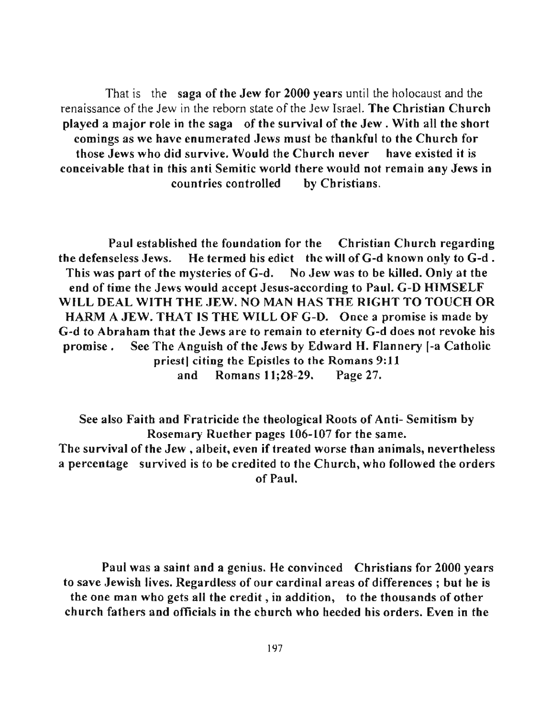That is the saga of the Jew for 2000 years until the holocaust and the renaissance of the Jew in the reborn state of the Jew Israel. The Christian Church played a major role in the saga of the survival of the Jew. With all the short comings as we have enumerated Jews must be thankful to the Church for those Jews wbo did survive. Would the Church never have existed it is conceivable that in this anti Semitic world there would not remain any Jews in countries controlled by Christians.

Paul established the foundation for the Christian Churcb regarding the defenseless Jews. He termed his edict the will of G-d known only to G-d . Tbis was part of tbe mysteries of G-d. No Jew was to be killed. Only at the end of time the Jews would accept Jesus-according to Paul. G-D HIMSELF WILL DEAL WITH THE JEW. NO MAN HAS THE RIGHT TO TOUCH OR HARM A JEW. THAT IS THE WILL OF G-D. Once a promise is made by G-d to Abraham that the Jews are to remain to eternity G-d does not revoke his promise. See The Anguish of the Jews by Edward H. Flannery I-a Catholic priest] citing the Epistles to the Romans 9:11 and Romans 11;28-29. Page 27.

See also Faith and Fratricide the theological Roots of Anti- Semitism by Rosemary Ruether pages 106-107 for the same. The survival of the Jew, albeit, even if treated worse than animals, nevertheless a percentage survived is to be credited to the Church, who followed the orders of Paul.

Paul was a saint and a genius. He convinced Christians for 2000 years to save Jewish lives. Regardless of our cardinal areas of differences; but he is the one man who gets all the credit, in addition, to the thousands of other church fatbers and officials in the church who beeded his orders. Even in tbe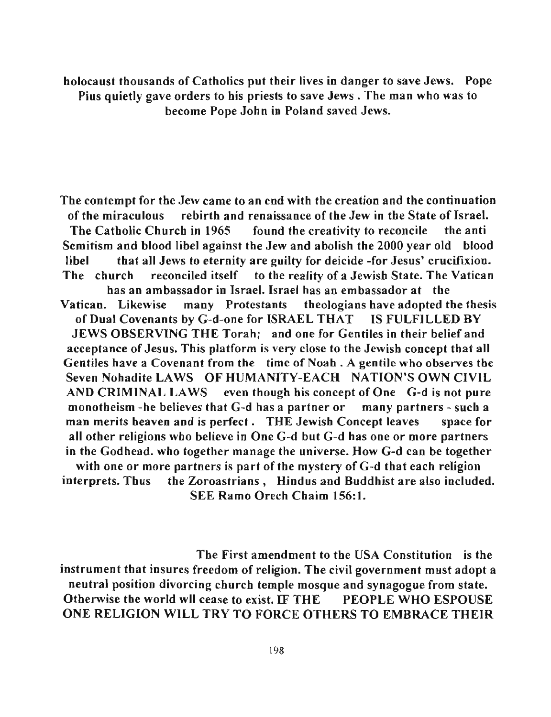holocaust thousands of Catholics put their lives in danger to save Jews. Pope Pius quietly gave orders to his priests to save Jews. The man who was to become Pope John in Poland saved Jews.

The contempt for the Jew came to an end with the creation and the continuation of the miraculous rebirth and renaissance ofthe Jew in the State of Israel. The Catholic Church in 1965 found the creativity to reconcile the anti Semitism and blood libel against the Jew and abolish the 2000 year old blood libel that all Jews to eternity are guilty for deicide -for Jesus' crucifixion. The church reconciled itself to the reality of a Jewish State. The Vatican has an ambassador in Israel. Israel has an embassador at the Vatican. Likewise many Protestants theologians have adopted the thesis of Dual Covenants by G-d-one for ISRAEL THAT IS FULFILLED BY JEWS OBSERVING THE Torah; and one for Gentiles in their belief and acceptance of Jesus. This platform is very close to the Jewish concept that all Gentiles have a Covenant from the time of Noab . A gentile who observes the Seven Nohadite LAWS OF HUMANITY-EACH NATION'S OWN CIVIL AND CRIMINAL LAWS even though his concept of One G-d is not pure monotheism -be believes that G-d has a partner or many partners - such a man merits heaven and is perfect. THE Jewish Concept leaves space for all other religions who believe in One G-d but G-d has one or more partners in the Godhead. who together manage the universe. How G-d can be together with one or more partners is part of the mystery of  $G-d$  that each religion interprets. Thus the Zoroastrians, Hindus and Buddhist are also included. SEE Ramo Orech Chaim 156:1.

The First amendment to the USA Constitution is the instrument that insures freedom of religion. The civil government must adopt a neutral position divorcing church temple mosque and synagogue from state. Otherwise the world wll cease to exist. IF THE PEOPLE WHO ESPOUSE ONE RELIGION WILL TRY TO FORCE OTHERS TO EMBRACE THEIR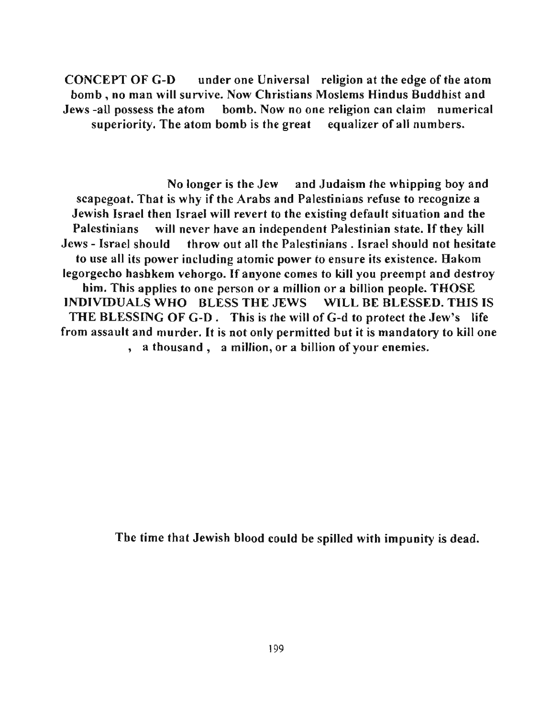CONCEPT OF G-D under one Universal religion at the edge of the atom bomb, no man will survive. Now Christians Moslems Hindus Buddhist and Jews -all possess the atom bomb. Now no one religion can claim numerical superiority. The atom bomb is the great equalizer of all numbers.

No longer is the Jew and Judaism the whipping boy and scapegoat. That is why if the Arabs and Palestinians refuse to recognize a Jewish Israel then Israel will revert to the existing default situation and the Palestinians will never have an independent Palestinian state. If they kill Jews - Israel should throw out all the Palestinians. Israel should not hesitate to use all its power including atomic power to ensure its existence. Hakom legorgecho hashkem vehorgo. If anyone comes to kill you preempt and destroy him. This applies to one person or a million or a billion people. THOSE INDIVIDUALS WHO BLESS THE JEWS WILL BE BLESSED. THIS IS THE BLESSING OF G-D. This is the will of G-d to protect the Jew's life from assault and murder. It is not only permitted but it is mandatory to kill one , **a thousand, a million, or a billion** of your **enemies.** 

The time that Jewish blood could be spilled with impunity is dead.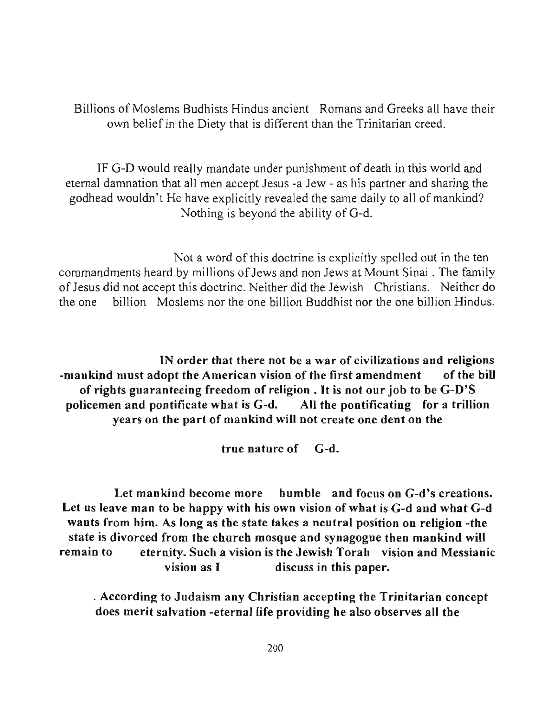Billions of Moslems Budhists Hindus ancient Romans and Greeks all have their own belief in the Diety that is different than the Trinitarian creed.

IF G-D would really mandate under punishment of death in this world and eternal damnation that all men accept Jesus -a Jew - as his partner and sharing the godhead wouldn't He have explicitly revealed the same daily to all of mankind? Nothing is beyond the ability of G-d.

Not a word of this doctrine is explicitly spelled out in the ten commandments heard by millions of Jews and non Jews at Mount Sinai. The family of Jesus did not accept this doctrine. Neither did the Jewish Christians. Neither do the one billion Moslems nor the one billion Buddhist nor the one billion Hindus.

**IN order that there not be a war of civilizations and religions**  -mankind must adopt the American vision of the first amendment of the bill of rights guaranteeing freedom of religion. It is not our job to be G-D'S policemen and pontificate what is G-d. All the pontificating for a trillion years on the part of mankind will not create one dent on the

true nature of G-d.

Let mankind become more humble and focus on G-d's creations. Let us leave man to be happy with his own vision of what is G-d and what G-d wants from him. As long as the state takes a neutral position on religion -the state is divorced from the church mosque and synagogue then mankind will remain to eternity. Such a vision is the Jewish Torah vision and Messianic vision as I discuss in this paper.

. According to Judaism any Christian accepting the Trinitarian concept does merit salvation -eternal life providing he also observes all the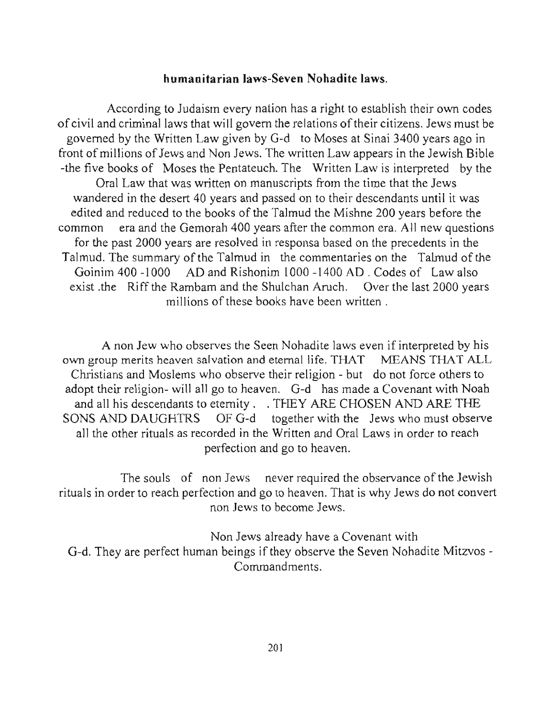### **humanitarian** laws-Seven **Nohadite** laws.

According to Judaism every nation has a right to establish their own codes of civil and criminal laws that will govern the relations of their citizens. Jews must be governed by the Written Law given by G-d to Moses at Sinai 3400 years ago in front of millions of Jews and Non Jews. The written Law appears in the Jewish Bible -the five books of Moses the Pentateuch. The Written Law is interpreted by the Oral Law that was written on manuscripts from the time that the Jews wandered in the desert 40 years and passed on to their descendants until it was edited and reduced to the books of the Talmud the Mishne 200 years before the common era and the Gemorah 400 years after the common era. All new questions for the past 2000 years are resolved in responsa based on the precedents in the Talmud. The summary of the Talmud in the commentaries on the Talmud of the Goinim 400 -1000 AD and Rishonim 1000 -1400 AD . Codes of Law also exist .the Riff the Rarnbam and the Shulchan Aruch. Over the last 2000 years millions of these books have been written .

A non Jew who observes the Seen Nohadite laws even if interpreted by his own group merits heaven salvation and eternal life. THAT MEANS THAT ALL Christians and Moslems who observe their religion - but do not force others to adopt their religion- will all go to heaven. G-d has made a Covenant with Noah and all his descendants to eternity. . THEY ARE CHOSEN AND ARE THE SONS AND DAUGHTRS OF G-d together with the Jews who must observe all the other rituals as recorded in the Written and Oral Laws in order to reach perfection and go to heaven.

The souls of non Jews never required the observance of the Jewish rituals in order to reach perfection and go to heaven. That is why Jews do not convert **non Jews to become Jews.** 

Non Jews already have a Covenant with G-d. They are perfect human beings if they observe the Seven Nohadite Mitzvos-Commandments.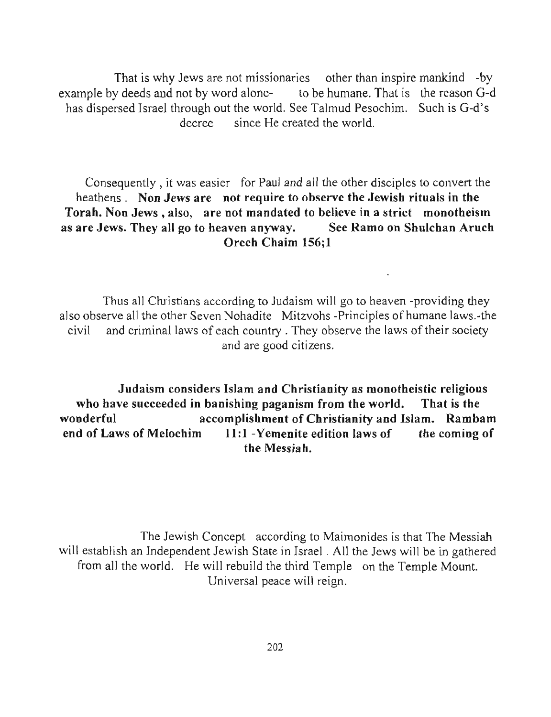That is why Jews are not missionaries other than inspire mankind -by example by deeds and not by word alone- to be humane. That is the reason G-d has dispersed Israel through out the world. See Talmud Pesochim. Such is G-d's decree since He created the world.

Consequently, it was easier for Paul and all the other disciples to convert the heathens. Non Jews are not require to observe the Jewish rituals in the Torah. Non Jews, also, are not mandated to believe in a strict monotheism as are Jews. They all go to heaven anyway. See Ramo on Shulchan Aruch Orech Chaim 156;1

Thus all Christians according to Judaism will go to heaven -providing they also observe all the other Seven Nohadite Mitzvohs -Principles of humane laws.-the civil and criminal laws of each country. They observe the laws of their society **and are good citizens.** 

Judaism considers Islam and Christianity as monotheistic religious who have succeeded in banishing paganism from the world. That is the wonderful accomplishment of Christianity and Islam. Rambam end of Laws of Melochim  $11:1$  -Yemenite edition laws of the coming of the Messiah.

The Jewish Concept according to Maimonides is that The Messiah will establish an Independent Jewish State in Israel. All the Jews will be in gathered from all the world. He will rebuild the third Temple on the Temple Mount. Universal peace will reign.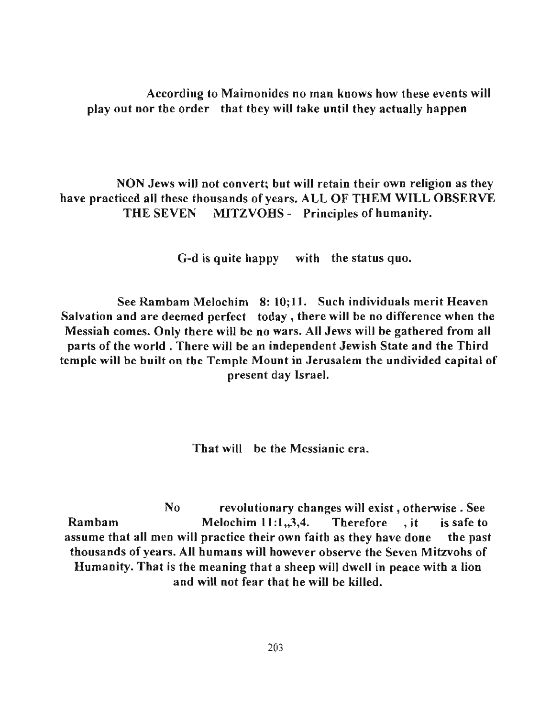According to Maimonides no man knows how these events will play out nor the order that they will take until they actually happen

NON Jews will not convert; but will retain their own religion as they have practiced all these thousands of years. ALL OF THEM WILL OBSERVE THE SEVEN MITZVOHS - Principles of humanity.

G-d is quite happy with the status quo.

See Rambam Melochim 8: 10;11. Such individuals merit Heaven Salvation and are deemed perfect today, there will be no difference when the Messiah comes. Only there will be no wars. All Jews will be gathered from all parts of the world. There will be an independent Jewish State and the Third temple will be built on the Temple Mount in Jerusalem the undivided capital of present day Israel.

That will be the Messianic era.

No revolutionary changes will exist, otherwise. See Rambam Melochim 11:1,,3,4. Therefore , it is safe to assume that all men will practice their own faith as they have done the past thousands of years. All humans will however observe the Seven Mitzvohs of Humanity. That is the meaning that a sheep will dwell in peace with a lion and will not fear that he will be killed.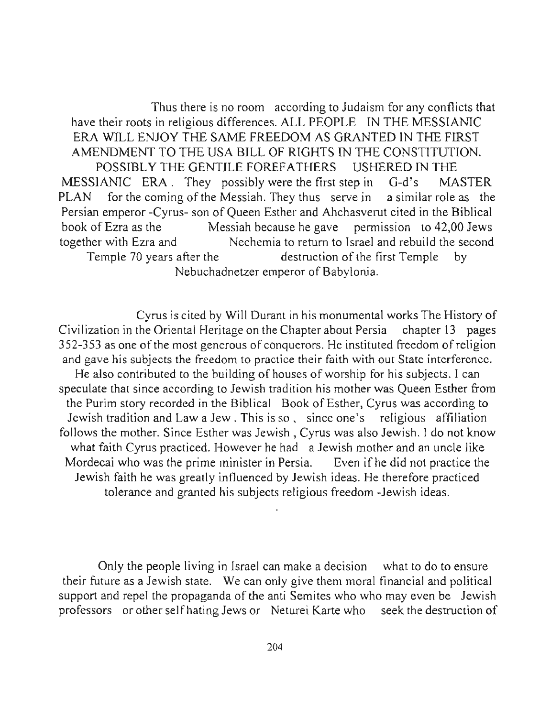Thus there is no room according to Judaism for any conflicts that have their roots in religious differences. ALL PEOPLE IN THE MESSIANIC ERA WILL ENJOY THE SAME FREEDOM AS GRANTED IN THE FIRST AMENDMENT TO THE USA BILL OF RIGHTS IN THE CONSTITUTION. POSSIBLY THE GENTILE FOREFATHERS USHERED IN THE MESSIANIC ERA. They possibly were the first step in G-d's MASTER PLAN for the coming of the Messiah. They thus serve in a similar role as the Persian emperor -Cyrus- son of Queen Esther and Ahchasverut cited in the Biblical book of Ezra as the Messiah because he gave permission to 42,00 Jews together with Ezra and Nechemia to return to Israel and rebuild the second Temple 70 years after the destruction of the first Temple by Nebuchadnetzer emperor of Babylonia.

Cyrus is cited by Will Durant in his monumental works The History of Civilization in the Oriental Heritage on the Chapter about Persia chapter 13 pages 352-353 as one of the most generous of conquerors. He instituted freedom of religion **and gave his subjects the freedom to practice their faith with out State interference.**  He also contributed to the building of houses of worship for his subjects. I can speculate that since according to Jewish tradition his mother was Queen Esther from the Purim story recorded in the Biblical Book of Esther, Cyrus was according to **Jewish tradition and Law a Jew. This is so, since one's religious affiliation**  follows the mother. Since Esther was Jewish, Cyrus was also Jewish. I do not know what faith Cyrus practiced. However he had a Jewish mother and an uncle like Mordecai who was the prime minister in Persia. Even if he did not practice the Jewish faith he was greatly influenced by Jewish ideas. He therefore practiced tolerance and granted his subjects religious freedom -Jewish ideas.

Only the people living in Israel can make a decision what to do to ensure their future as a Jewish state. We can only give them moral financial and political support and repel the propaganda of the anti Semites who who may even be Jewish professors or other selfhating Jews or Neturei Karte who seek the destruction of